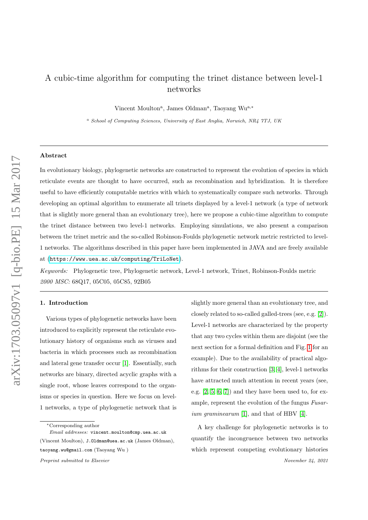# A cubic-time algorithm for computing the trinet distance between level-1 networks

Vincent Moulton<sup>a</sup>, James Oldman<sup>a</sup>, Taoyang Wu<sup>a,\*</sup>

<sup>a</sup> School of Computing Sciences, University of East Anglia, Norwich, NR4 7TJ, UK

#### Abstract

In evolutionary biology, phylogenetic networks are constructed to represent the evolution of species in which reticulate events are thought to have occurred, such as recombination and hybridization. It is therefore useful to have efficiently computable metrics with which to systematically compare such networks. Through developing an optimal algorithm to enumerate all trinets displayed by a level-1 network (a type of network that is slightly more general than an evolutionary tree), here we propose a cubic-time algorithm to compute the trinet distance between two level-1 networks. Employing simulations, we also present a comparison between the trinet metric and the so-called Robinson-Foulds phylogenetic network metric restricted to level-1 networks. The algorithms described in this paper have been implemented in JAVA and are freely available at (<https://www.uea.ac.uk/computing/TriLoNet>).

Keywords: Phylogenetic tree, Phylogenetic network, Level-1 network, Trinet, Robinson-Foulds metric 2000 MSC: 68Q17, 05C05, 05C85, 92B05

# 1. Introduction

Various types of phylogenetic networks have been introduced to explicitly represent the reticulate evolutionary history of organisms such as viruses and bacteria in which processes such as recombination and lateral gene transfer occur [\[1\]](#page-9-0). Essentially, such networks are binary, directed acyclic graphs with a single root, whose leaves correspond to the organisms or species in question. Here we focus on level-1 networks, a type of phylogenetic network that is

slightly more general than an evolutionary tree, and closely related to so-called galled-trees (see, e.g. [\[2\]](#page-9-1)). Level-1 networks are characterized by the property that any two cycles within them are disjoint (see the next section for a formal definition and Fig. [1](#page-2-0) for an example). Due to the availability of practical algorithms for their construction [\[3,](#page-9-2) [4\]](#page-9-3), level-1 networks have attracted much attention in recent years (see, e.g. [\[2,](#page-9-1) [5,](#page-9-4) [6,](#page-9-5) [7\]](#page-9-6)) and they have been used to, for example, represent the evolution of the fungus Fusar-ium graminearum [\[1\]](#page-9-0), and that of HBV [\[4\]](#page-9-3).

A key challenge for phylogenetic networks is to quantify the incongruence between two networks which represent competing evolutionary histories

<sup>∗</sup>Corresponding author

Email addresses: vincent.moulton@cmp.uea.ac.uk (Vincent Moulton), J.Oldman@uea.ac.uk (James Oldman), taoyang.wu@gmail.com (Taoyang Wu )

Preprint submitted to Elsevier November 24, 2021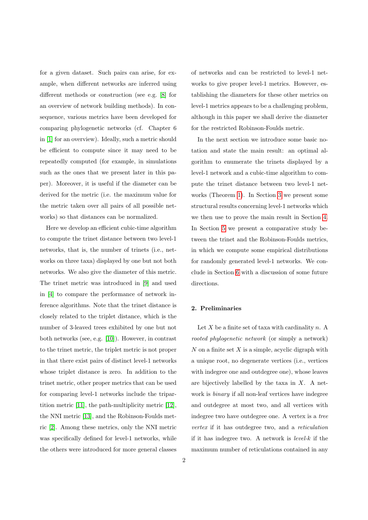for a given dataset. Such pairs can arise, for example, when different networks are inferred using different methods or construction (see e.g. [\[8\]](#page-9-7) for an overview of network building methods). In consequence, various metrics have been developed for comparing phylogenetic networks (cf. Chapter 6 in [\[1\]](#page-9-0) for an overview). Ideally, such a metric should be efficient to compute since it may need to be repeatedly computed (for example, in simulations such as the ones that we present later in this paper). Moreover, it is useful if the diameter can be derived for the metric (i.e. the maximum value for the metric taken over all pairs of all possible networks) so that distances can be normalized.

Here we develop an efficient cubic-time algorithm to compute the trinet distance between two level-1 networks, that is, the number of trinets (i.e., networks on three taxa) displayed by one but not both networks. We also give the diameter of this metric. The trinet metric was introduced in [\[9\]](#page-9-8) and used in [\[4\]](#page-9-3) to compare the performance of network inference algorithms. Note that the trinet distance is closely related to the triplet distance, which is the number of 3-leaved trees exhibited by one but not both networks (see, e.g. [\[10\]](#page-9-9)). However, in contrast to the trinet metric, the triplet metric is not proper in that there exist pairs of distinct level-1 networks whose triplet distance is zero. In addition to the trinet metric, other proper metrics that can be used for comparing level-1 networks include the tripartition metric [\[11\]](#page-9-10), the path-multiplicity metric [\[12\]](#page-9-11), the NNI metric [\[13\]](#page-9-12), and the Robinson-Foulds metric [\[2\]](#page-9-1). Among these metrics, only the NNI metric was specifically defined for level-1 networks, while the others were introduced for more general classes

of networks and can be restricted to level-1 networks to give proper level-1 metrics. However, establishing the diameters for these other metrics on level-1 metrics appears to be a challenging problem, although in this paper we shall derive the diameter for the restricted Robinson-Foulds metric.

In the next section we introduce some basic notation and state the main result: an optimal algorithm to enumerate the trinets displayed by a level-1 network and a cubic-time algorithm to compute the trinet distance between two level-1 networks (Theorem [1\)](#page-3-0). In Section [3](#page-3-1) we present some structural results concerning level-1 networks which we then use to prove the main result in Section [4.](#page-5-0) In Section [5](#page-6-0) we present a comparative study between the trinet and the Robinson-Foulds metrics, in which we compute some empirical distributions for randomly generated level-1 networks. We conclude in Section [6](#page-7-0) with a discussion of some future directions.

# 2. Preliminaries

Let  $X$  be a finite set of taxa with cardinality  $n$ . A rooted phylogenetic network (or simply a network)  $N$  on a finite set  $X$  is a simple, acyclic digraph with a unique root, no degenerate vertices (i.e., vertices with indegree one and outdegree one), whose leaves are bijectively labelled by the taxa in  $X$ . A network is binary if all non-leaf vertices have indegree and outdegree at most two, and all vertices with indegree two have outdegree one. A vertex is a tree vertex if it has outdegree two, and a reticulation if it has indegree two. A network is level-k if the maximum number of reticulations contained in any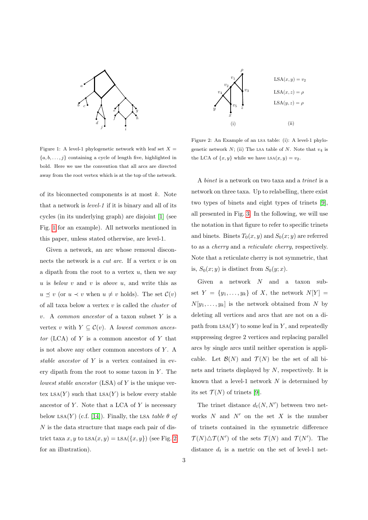

<span id="page-2-0"></span>Figure 1: A level-1 phylogenetic network with leaf set  $X =$  ${a, b, \ldots, j}$  containing a cycle of length five, highlighted in bold. Here we use the convention that all arcs are directed away from the root vertex which is at the top of the network.

of its biconnected components is at most  $k$ . Note that a network is level-1 if it is binary and all of its cycles (in its underlying graph) are disjoint [\[1\]](#page-9-0) (see Fig. [1](#page-2-0) for an example). All networks mentioned in this paper, unless stated otherwise, are level-1.

Given a network, an arc whose removal disconnects the network is a *cut arc*. If a vertex  $v$  is on a dipath from the root to a vertex  $u$ , then we say u is below  $v$  and  $v$  is above  $u$ , and write this as  $u \preceq v$  (or  $u \prec v$  when  $u \neq v$  holds). The set  $\mathcal{C}(v)$ of all taxa below a vertex  $v$  is called the *cluster* of v. A common ancestor of a taxon subset Y is a vertex v with  $Y \subseteq \mathcal{C}(v)$ . A lowest common ancestor (LCA) of  $Y$  is a common ancestor of  $Y$  that is not above any other common ancestors of  $Y$ . A stable ancestor of Y is a vertex contained in every dipath from the root to some taxon in  $Y$ . The lowest stable ancestor  $(LSA)$  of Y is the unique vertex  $LSA(Y)$  such that  $LSA(Y)$  is below every stable ancestor of  $Y$ . Note that a LCA of  $Y$  is necessary below LSA(Y) (c.f. [\[14\]](#page-9-13)). Finally, the LSA table  $\theta$  of N is the data structure that maps each pair of district taxa x, y to  $LSA(x, y) = LSA({x, y})$  (see Fig. [2](#page-2-1)) for an illustration).



<span id="page-2-1"></span>Figure 2: An Example of an lsa table: (i): A level-1 phylogenetic network  $N$ ; (ii) The LSA table of  $N$ . Note that  $v_4$  is the LCA of  $\{x, y\}$  while we have  $LSA(x, y) = v_2$ .

A binet is a network on two taxa and a trinet is a network on three taxa. Up to relabelling, there exist two types of binets and eight types of trinets [\[9\]](#page-9-8), all presented in Fig. [3.](#page-3-2) In the following, we will use the notation in that figure to refer to specific trinets and binets. Binets  $T_0(x, y)$  and  $S_0(x, y)$  are referred to as a cherry and a reticulate cherry, respectively. Note that a reticulate cherry is not symmetric, that is,  $S_0(x; y)$  is distinct from  $S_0(y; x)$ .

Given a network  $N$  and a taxon subset  $Y = \{y_1, \ldots, y_k\}$  of X, the network  $N[Y] =$  $N[y_1, \ldots, y_k]$  is the network obtained from N by deleting all vertices and arcs that are not on a dipath from  $LSA(Y)$  to some leaf in Y, and repeatedly suppressing degree 2 vertices and replacing parallel arcs by single arcs until neither operation is applicable. Let  $\mathcal{B}(N)$  and  $\mathcal{T}(N)$  be the set of all binets and trinets displayed by N, respectively. It is known that a level-1 network  $N$  is determined by its set  $\mathcal{T}(N)$  of trinets [\[9\]](#page-9-8).

The trinet distance  $d_t(N, N')$  between two networks  $N$  and  $N'$  on the set  $X$  is the number of trinets contained in the symmetric difference  $\mathcal{T}(N) \triangle \mathcal{T}(N')$  of the sets  $\mathcal{T}(N)$  and  $\mathcal{T}(N')$ . The distance  $d_t$  is a metric on the set of level-1 net-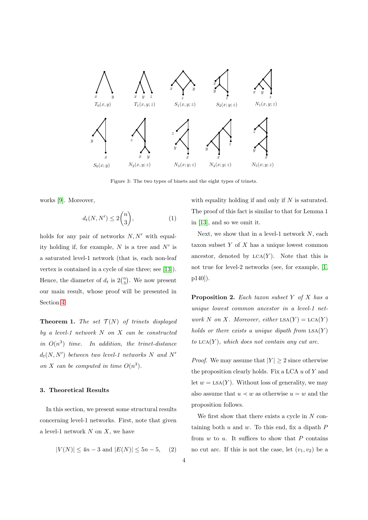

<span id="page-3-2"></span>Figure 3: The two types of binets and the eight types of trinets.

works [\[9\]](#page-9-8). Moreover,

<span id="page-3-5"></span>
$$
d_t(N, N') \le 2\binom{n}{3},\tag{1}
$$

holds for any pair of networks  $N, N'$  with equality holding if, for example,  $N$  is a tree and  $N'$  is a saturated level-1 network (that is, each non-leaf vertex is contained in a cycle of size three; see [\[13\]](#page-9-12)). Hence, the diameter of  $d_t$  is  $2\binom{n}{3}$ . We now present our main result, whose proof will be presented in Section [4.](#page-5-0)

<span id="page-3-0"></span>**Theorem 1.** The set  $\mathcal{T}(N)$  of trinets displayed by a level-1 network  $N$  on  $X$  can be constructed in  $O(n^3)$  time. In addition, the trinet-distance  $d_t(N, N')$  between two level-1 networks N and N' on X can be computed in time  $O(n^3)$ .

# <span id="page-3-1"></span>3. Theoretical Results

In this section, we present some structural results concerning level-1 networks. First, note that given a level-1 network  $N$  on  $X$ , we have

<span id="page-3-4"></span>
$$
|V(N)| \le 4n - 3 \text{ and } |E(N)| \le 5n - 5, \quad (2)
$$

with equality holding if and only if  $N$  is saturated. The proof of this fact is similar to that for Lemma 1 in [\[13\]](#page-9-12), and so we omit it.

Next, we show that in a level-1 network  $N$ , each taxon subset  $Y$  of  $X$  has a unique lowest common ancestor, denoted by  $LCA(Y)$ . Note that this is not true for level-2 networks (see, for example, [\[1,](#page-9-0) p140]).

<span id="page-3-3"></span>**Proposition 2.** Each taxon subset  $Y$  of  $X$  has a unique lowest common ancestor in a level-1 network N on X. Moreover, either  $LSA(Y) = LCA(Y)$ holds or there exists a unique dipath from  $LSA(Y)$ to  $LCA(Y)$ , which does not contain any cut arc.

*Proof.* We may assume that  $|Y| \geq 2$  since otherwise the proposition clearly holds. Fix a LCA  $u$  of  $Y$  and let  $w =$  LSA $(Y)$ . Without loss of generality, we may also assume that  $u \prec w$  as otherwise  $u = w$  and the proposition follows.

We first show that there exists a cycle in  $N$  containing both  $u$  and  $w$ . To this end, fix a dipath  $P$ from  $w$  to  $u$ . It suffices to show that  $P$  contains no cut arc. If this is not the case, let  $(v_1, v_2)$  be a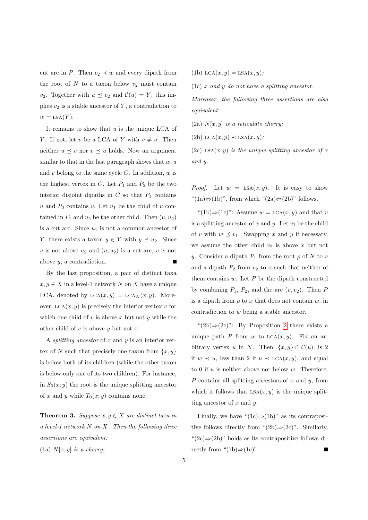cut arc in P. Then  $v_2 \prec w$  and every dipath from the root of  $N$  to a taxon below  $v_2$  must contain  $v_2$ . Together with  $u \preceq v_2$  and  $\mathcal{C}(u) = Y$ , this implies  $v_2$  is a stable ancestor of Y, a contradiction to  $w =$ LSA $(Y)$ .

It remains to show that  $u$  is the unique LCA of Y. If not, let v be a LCA of Y with  $v \neq u$ . Then neither  $u \preceq v$  nor  $v \preceq u$  holds. Now an argument similar to that in the last paragraph shows that  $w, u$ and v belong to the same cycle  $C$ . In addition,  $w$  is the highest vertex in  $C$ . Let  $P_1$  and  $P_2$  be the two interior disjoint dipaths in  $C$  so that  $P_1$  contains u and  $P_2$  contains v. Let  $u_1$  be the child of u contained in  $P_1$  and  $u_2$  be the other child. Then  $(u, u_2)$ is a cut arc. Since  $u_1$  is not a common ancestor of Y, there exists a taxon  $y \in Y$  with  $y \preceq u_2$ . Since v is not above  $u_2$  and  $(u, u_2)$  is a cut arc, v is not above y, a contradiction.

By the last proposition, a pair of distinct taxa  $x, y \in X$  in a level-1 network N on X have a unique LCA, denoted by  $LCA(x, y) = LCA<sub>N</sub>(x, y)$ . Moreover,  $LCA(x, y)$  is precisely the interior vertex v for which one child of  $v$  is above  $x$  but not  $y$  while the other child of  $v$  is above  $y$  but not  $x$ .

A *splitting ancestor* of  $x$  and  $y$  is an interior vertex of N such that precisely one taxon from  $\{x, y\}$ is below both of its children (while the other taxon is below only one of its two children). For instance, in  $S_0(x; y)$  the root is the unique splitting ancestor of x and y while  $T_0(x; y)$  contains none.

<span id="page-4-0"></span>**Theorem 3.** Suppose  $x, y \in X$  are distinct taxa in a level-1 network  $N$  on  $X$ . Then the following three assertions are equivalent:

(1a)  $N[x, y]$  is a cherry;

(1b)  $LCA(x, y) = LSA(x, y);$ 

(1c) x and y do not have a splitting ancestor.

Moreover, the following three assertions are also equivalent:

(2a)  $N[x, y]$  is a reticulate cherry;

(2b)  $LCA(x, y) \prec LSA(x, y);$ 

(2c) LSA $(x, y)$  is the unique splitting ancestor of x and y.

*Proof.* Let  $w = \text{LSA}(x, y)$ . It is easy to show "(1a)⇔(1b)", from which "(2a)⇔(2b)" follows.

"(1b)⇒(1c)": Assume  $w = LCA(x, y)$  and that v is a splitting ancestor of x and y. Let  $v_1$  be the child of v with  $w \preceq v_1$ . Swapping x and y if necessary, we assume the other child  $v_2$  is above x but not y. Consider a dipath  $P_1$  from the root  $\rho$  of N to v and a dipath  $P_2$  from  $v_2$  to x such that neither of them contains  $w$ . Let  $P$  be the dipath constructed by combining  $P_1$ ,  $P_2$ , and the arc  $(v, v_2)$ . Then P is a dipath from  $\rho$  to x that does not contain w, in contradiction to w being a stable ancestor.

" $(2b) \Rightarrow (2c)$ ": By Proposition [2](#page-3-3) there exists a unique path P from w to  $LCA(x, y)$ . Fix an arbitrary vertex u in N. Then  $|\{x,y\} \cap C(u)|$  is 2 if  $w \prec u$ , less than 2 if  $u \prec \text{LCA}(x, y)$ , and equal to 0 if  $u$  is neither above nor below  $w$ . Therefore,  $P$  contains all splitting ancestors of  $x$  and  $y$ , from which it follows that  $LSA(x, y)$  is the unique splitting ancestor of  $x$  and  $y$ .

Finally, we have " $(1c) \Rightarrow (1b)$ " as its contrapositive follows directly from " $(2b) \Rightarrow (2c)$ ". Similarly, " $(2c) \Rightarrow (2b)$ " holds as its contrapositive follows directly from "(1b)⇒(1c)".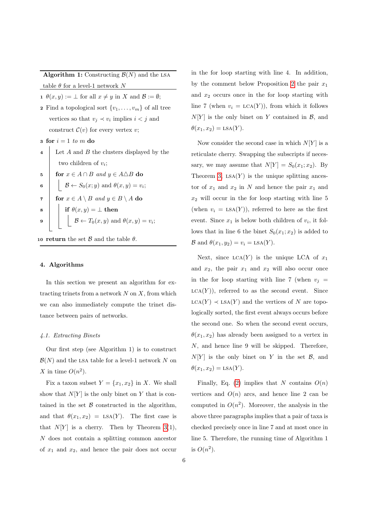Algorithm 1: Constructing  $\mathcal{B}(N)$  and the LSA table  $\theta$  for a level-1 network N

1  $\theta(x, y) := \bot$  for all  $x \neq y$  in X and  $\mathcal{B} := \emptyset$ ;

- 2 Find a topological sort  $\{v_1, \ldots, v_m\}$  of all tree vertices so that  $v_j \prec v_i$  implies  $i < j$  and construct  $\mathcal{C}(v)$  for every vertex v;
- 3 for  $i = 1$  to m do
- Let  $A$  and  $B$  the clusters displayed by the two children of  $v_i$ ;

5 **for** 
$$
x \in A \cap B
$$
 and  $y \in A \triangle B$  do

- 6 |  $\beta \leftarrow S_0(x; y)$  and  $\theta(x, y) = v_i;$
- 7 for  $x \in A \setminus B$  and  $y \in B \setminus A$  do  $\mathbf{s} \quad | \quad \mathbf{if} \; \theta(x,y) = \bot \; \mathbf{then}$
- 9  $\beta$   $\beta$   $\leftarrow$   $T_0(x, y)$  and  $\theta(x, y) = v_i$ ;

10 return the set  $\beta$  and the table  $\theta$ .

#### <span id="page-5-0"></span>4. Algorithms

In this section we present an algorithm for extracting trinets from a network  $N$  on  $X$ , from which we can also immediately compute the trinet distance between pairs of networks.

#### 4.1. Extracting Binets

Our first step (see Algorithm 1) is to construct  $\mathcal{B}(N)$  and the LSA table for a level-1 network N on X in time  $O(n^2)$ .

Fix a taxon subset  $Y = \{x_1, x_2\}$  in X. We shall show that  $N[Y]$  is the only binet on Y that is contained in the set  $\beta$  constructed in the algorithm, and that  $\theta(x_1, x_2) = \text{LSA}(Y)$ . The first case is that  $N[Y]$  is a cherry. Then by Theorem [3\(](#page-4-0)1), N does not contain a splitting common ancestor of  $x_1$  and  $x_2$ , and hence the pair does not occur in the for loop starting with line 4. In addition, by the comment below Proposition [2](#page-3-3) the pair  $x_1$ and  $x_2$  occurs once in the for loop starting with line 7 (when  $v_i = LCA(Y)$ ), from which it follows  $N[Y]$  is the only binet on Y contained in B, and  $\theta(x_1, x_2) = \text{LSA}(Y).$ 

Now consider the second case in which  $N[Y]$  is a reticulate cherry. Swapping the subscripts if necessary, we may assume that  $N[Y] = S_0(x_1; x_2)$ . By Theorem [3,](#page-4-0)  $LSA(Y)$  is the unique splitting ancestor of  $x_1$  and  $x_2$  in N and hence the pair  $x_1$  and  $x_2$  will occur in the for loop starting with line 5 (when  $v_i = \text{LSA}(Y)$ ), referred to here as the first event. Since  $x_1$  is below both children of  $v_i$ , it follows that in line 6 the binet  $S_0(x_1; x_2)$  is added to  $\mathcal{B}$  and  $\theta(x_1, y_2) = v_i = \text{LSA}(Y)$ .

Next, since  $LCA(Y)$  is the unique LCA of  $x_1$ and  $x_2$ , the pair  $x_1$  and  $x_2$  will also occur once in the for loop starting with line 7 (when  $v_i =$  $LCA(Y)$ , referred to as the second event. Since  $LCA(Y) \prec LSA(Y)$  and the vertices of N are topologically sorted, the first event always occurs before the second one. So when the second event occurs,  $\theta(x_1, x_2)$  has already been assigned to a vertex in N, and hence line 9 will be skipped. Therefore,  $N[Y]$  is the only binet on Y in the set B, and  $\theta(x_1, x_2) = \text{LSA}(Y).$ 

Finally, Eq. [\(2\)](#page-3-4) implies that N contains  $O(n)$ vertices and  $O(n)$  arcs, and hence line 2 can be computed in  $O(n^2)$ . Moreover, the analysis in the above three paragraphs implies that a pair of taxa is checked precisely once in line 7 and at most once in line 5. Therefore, the running time of Algorithm 1 is  $O(n^2)$ .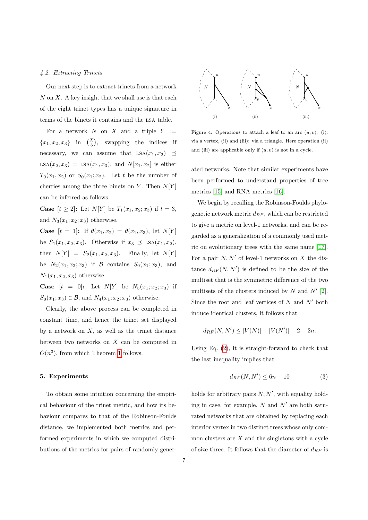### 4.2. Extracting Trinets

Our next step is to extract trinets from a network  $N$  on  $X$ . A key insight that we shall use is that each of the eight trinet types has a unique signature in terms of the binets it contains and the lsa table.

For a network  $N$  on  $X$  and a triple  $Y :=$  ${x_1, x_2, x_3}$  in  $\binom{X}{3}$ , swapping the indices if necessary, we can assume that  $LSA(x_1, x_2) \preceq$  $LSA(x_2, x_3) = LSA(x_1, x_3),$  and  $N[x_1, x_2]$  is either  $T_0(x_1, x_2)$  or  $S_0(x_1; x_2)$ . Let t be the number of cherries among the three binets on  $Y$ . Then  $N[Y]$ can be inferred as follows.

**Case**  $[t > 2]$ : Let  $N[Y]$  be  $T_1(x_1, x_2; x_3)$  if  $t = 3$ , and  $N_3(x_1; x_2; x_3)$  otherwise.

**Case**  $[t = 1]$ : If  $\theta(x_1, x_2) = \theta(x_1, x_3)$ , let  $N[Y]$ be  $S_1(x_1, x_2; x_3)$ . Otherwise if  $x_3 \preceq \text{LSA}(x_1, x_2)$ , then  $N[Y] = S_2(x_1; x_2; x_3)$ . Finally, let  $N[Y]$ be  $N_2(x_1, x_2; x_3)$  if  $\mathcal B$  contains  $S_0(x_1; x_3)$ , and  $N_1(x_1, x_2; x_3)$  otherwise.

**Case**  $[t = 0]$ : Let  $N[Y]$  be  $N_5(x_1; x_2; x_3)$  if  $S_0(x_1; x_3) \in \mathcal{B}$ , and  $N_4(x_1; x_2; x_3)$  otherwise.

Clearly, the above process can be completed in constant time, and hence the trinet set displayed by a network on  $X$ , as well as the trinet distance between two networks on X can be computed in  $O(n^3)$ , from which Theorem [1](#page-3-0) follows.

# <span id="page-6-0"></span>5. Experiments

To obtain some intuition concerning the empirical behaviour of the trinet metric, and how its behaviour compares to that of the Robinson-Foulds distance, we implemented both metrics and performed experiments in which we computed distributions of the metrics for pairs of randomly gener-



<span id="page-6-2"></span>Figure 4: Operations to attach a leaf to an arc  $(u, v)$ : (i): via a vertex, (ii) and (iii): via a triangle. Here operation (ii) and (iii) are applicable only if  $(u, v)$  is not in a cycle.

ated networks. Note that similar experiments have been performed to understand properties of tree metrics [\[15\]](#page-9-14) and RNA metrics [\[16\]](#page-9-15).

We begin by recalling the Robinson-Foulds phylogenetic network metric  $d_{RF}$ , which can be restricted to give a metric on level-1 networks, and can be regarded as a generalization of a commonly used metric on evolutionary trees with the same name [\[17\]](#page-9-16). For a pair  $N, N'$  of level-1 networks on X the distance  $d_{RF}(N, N')$  is defined to be the size of the multiset that is the symmetric difference of the two multisets of the clusters induced by  $N$  and  $N'$  [\[2\]](#page-9-1). Since the root and leaf vertices of  $N$  and  $N'$  both induce identical clusters, it follows that

$$
d_{RF}(N, N') \le |V(N)| + |V(N')| - 2 - 2n.
$$

Using Eq. [\(2\)](#page-3-4), it is straight-forward to check that the last inequality implies that

<span id="page-6-1"></span>
$$
d_{RF}(N, N') \le 6n - 10\tag{3}
$$

holds for arbitrary pairs  $N, N'$ , with equality holding in case, for example,  $N$  and  $N'$  are both saturated networks that are obtained by replacing each interior vertex in two distinct trees whose only common clusters are  $X$  and the singletons with a cycle of size three. It follows that the diameter of  $d_{RF}$  is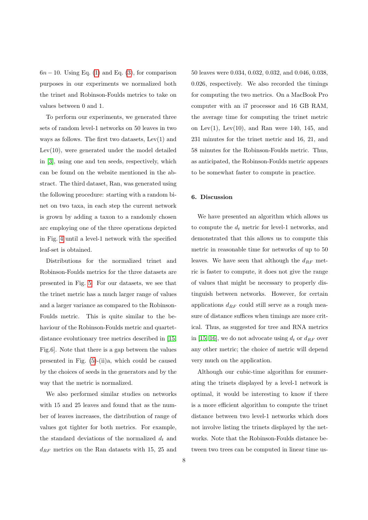$6n - 10$ . Using Eq. [\(1\)](#page-3-5) and Eq. [\(3\)](#page-6-1), for comparison purposes in our experiments we normalized both the trinet and Robinson-Foulds metrics to take on values between 0 and 1.

To perform our experiments, we generated three sets of random level-1 networks on 50 leaves in two ways as follows. The first two datasets, Lev(1) and Lev(10), were generated under the model detailed in [\[3\]](#page-9-2), using one and ten seeds, respectively, which can be found on the website mentioned in the abstract. The third dataset, Ran, was generated using the following procedure: starting with a random binet on two taxa, in each step the current network is grown by adding a taxon to a randomly chosen arc employing one of the three operations depicted in Fig. [4](#page-6-2) until a level-1 network with the specified leaf-set is obtained.

Distributions for the normalized trinet and Robinson-Foulds metrics for the three datasets are presented in Fig. [5.](#page-8-0) For our datasets, we see that the trinet metric has a much larger range of values and a larger variance as compared to the Robinson-Foulds metric. This is quite similar to the behaviour of the Robinson-Foulds metric and quartetdistance evolutionary tree metrics described in [\[15,](#page-9-14) Fig.6]. Note that there is a gap between the values presented in Fig. [\(5\)](#page-8-0)-(ii)a, which could be caused by the choices of seeds in the generators and by the way that the metric is normalized.

We also performed similar studies on networks with 15 and 25 leaves and found that as the number of leaves increases, the distribution of range of values got tighter for both metrics. For example, the standard deviations of the normalized  $d_t$  and  $d_{RF}$  metrics on the Ran datasets with 15, 25 and

50 leaves were 0.034, 0.032, 0.032, and 0.046, 0.038, 0.026, respectively. We also recorded the timings for computing the two metrics. On a MacBook Pro computer with an i7 processor and 16 GB RAM, the average time for computing the trinet metric on Lev $(1)$ , Lev $(10)$ , and Ran were 140, 145, and 231 minutes for the trinet metric and 16, 21, and 58 minutes for the Robinson-Foulds metric. Thus, as anticipated, the Robinson-Foulds metric appears to be somewhat faster to compute in practice.

#### <span id="page-7-0"></span>6. Discussion

We have presented an algorithm which allows us to compute the  $d_t$  metric for level-1 networks, and demonstrated that this allows us to compute this metric in reasonable time for networks of up to 50 leaves. We have seen that although the  $d_{RF}$  metric is faster to compute, it does not give the range of values that might be necessary to properly distinguish between networks. However, for certain applications  $d_{RF}$  could still serve as a rough measure of distance suffices when timings are more critical. Thus, as suggested for tree and RNA metrics in [\[15,](#page-9-14) [16\]](#page-9-15), we do not advocate using  $d_t$  or  $d_{RF}$  over any other metric; the choice of metric will depend very much on the application.

Although our cubic-time algorithm for enumerating the trinets displayed by a level-1 network is optimal, it would be interesting to know if there is a more efficient algorithm to compute the trinet distance between two level-1 networks which does not involve listing the trinets displayed by the networks. Note that the Robinson-Foulds distance between two trees can be computed in linear time us-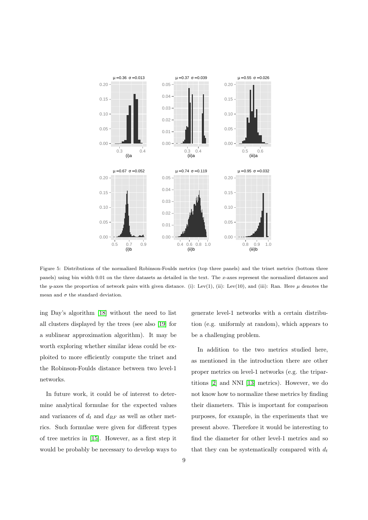

<span id="page-8-0"></span>Figure 5: Distributions of the normalized Robinson-Foulds metrics (top three panels) and the trinet metrics (bottom three panels) using bin width 0.01 on the three datasets as detailed in the text. The x-axes represent the normalized distances and the y-axes the proportion of network pairs with given distance. (i): Lev(1), (ii): Lev(10), and (iii): Ran. Here  $\mu$  denotes the mean and  $\sigma$  the standard deviation.

ing Day's algorithm [\[18\]](#page-9-17) without the need to list all clusters displayed by the trees (see also [\[19\]](#page-9-18) for a sublinear approximation algorithm). It may be worth exploring whether similar ideas could be exploited to more efficiently compute the trinet and the Robinson-Foulds distance between two level-1 networks.

In future work, it could be of interest to determine analytical formulae for the expected values and variances of  $d_t$  and  $d_{RF}$  as well as other metrics. Such formulae were given for different types of tree metrics in [\[15\]](#page-9-14). However, as a first step it would be probably be necessary to develop ways to

generate level-1 networks with a certain distribution (e.g. uniformly at random), which appears to be a challenging problem.

In addition to the two metrics studied here, as mentioned in the introduction there are other proper metrics on level-1 networks (e.g. the tripartitions [\[2\]](#page-9-1) and NNI [\[13\]](#page-9-12) metrics). However, we do not know how to normalize these metrics by finding their diameters. This is important for comparison purposes, for example, in the experiments that we present above. Therefore it would be interesting to find the diameter for other level-1 metrics and so that they can be systematically compared with  $d_t$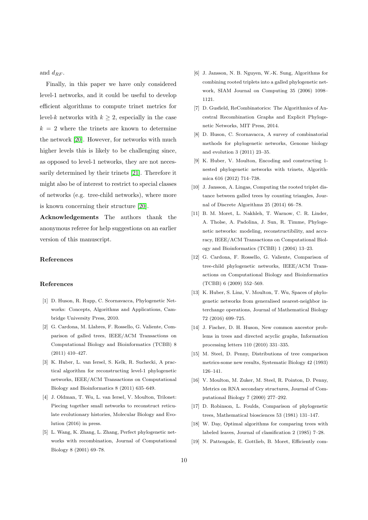and  $d_{RF}$ .

Finally, in this paper we have only considered level-1 networks, and it could be useful to develop efficient algorithms to compute trinet metrics for level-k networks with  $k \geq 2$ , especially in the case  $k = 2$  where the trinets are known to determine the network [\[20\]](#page-10-0). However, for networks with much higher levels this is likely to be challenging since, as opposed to level-1 networks, they are not necessarily determined by their trinets [\[21\]](#page-10-1). Therefore it might also be of interest to restrict to special classes of networks (e.g. tree-child networks), where more is known concerning their structure [\[20\]](#page-10-0).

Acknowledgements The authors thank the anonymous referee for help suggestions on an earlier version of this manuscript.

# References

# References

- <span id="page-9-0"></span>[1] D. Huson, R. Rupp, C. Scornavacca, Phylogenetic Networks: Concepts, Algorithms and Applications, Cambridge University Press, 2010.
- <span id="page-9-1"></span>[2] G. Cardona, M. Llabres, F. Rossello, G. Valiente, Comparison of galled trees, IEEE/ACM Transactions on Computational Biology and Bioinformatics (TCBB) 8 (2011) 410–427.
- <span id="page-9-2"></span>[3] K. Huber, L. van Iersel, S. Kelk, R. Suchecki, A practical algorithm for reconstructing level-1 phylogenetic networks, IEEE/ACM Transactions on Computational Biology and Bioinformatics 8 (2011) 635–649.
- <span id="page-9-3"></span>[4] J. Oldman, T. Wu, L. van Iersel, V. Moulton, Trilonet: Piecing together small networks to reconstruct reticulate evolutionary histories, Molecular Biology and Evolution (2016) in press.
- <span id="page-9-4"></span>[5] L. Wang, K. Zhang, L. Zhang, Perfect phylogenetic networks with recombination, Journal of Computational Biology 8 (2001) 69–78.
- <span id="page-9-5"></span>[6] J. Jansson, N. B. Nguyen, W.-K. Sung, Algorithms for combining rooted triplets into a galled phylogenetic network, SIAM Journal on Computing 35 (2006) 1098– 1121.
- <span id="page-9-6"></span>[7] D. Gusfield, ReCombinatorics: The Algorithmics of Ancestral Recombination Graphs and Explicit Phylogenetic Networks, MIT Press, 2014.
- <span id="page-9-7"></span>[8] D. Huson, C. Scornavacca, A survey of combinatorial methods for phylogenetic networks, Genome biology and evolution 3 (2011) 23–35.
- <span id="page-9-8"></span>[9] K. Huber, V. Moulton, Encoding and constructing 1 nested phylogenetic networks with trinets, Algorithmica 616 (2012) 714–738.
- <span id="page-9-9"></span>[10] J. Jansson, A. Lingas, Computing the rooted triplet distance between galled trees by counting triangles, Journal of Discrete Algorithms 25 (2014) 66–78.
- <span id="page-9-10"></span>[11] B. M. Moret, L. Nakhleh, T. Warnow, C. R. Linder, A. Tholse, A. Padolina, J. Sun, R. Timme, Phylogenetic networks: modeling, reconstructibility, and accuracy, IEEE/ACM Transactions on Computational Biology and Bioinformatics (TCBB) 1 (2004) 13–23.
- <span id="page-9-11"></span>[12] G. Cardona, F. Rossello, G. Valiente, Comparison of tree-child phylogenetic networks, IEEE/ACM Transactions on Computational Biology and Bioinformatics (TCBB) 6 (2009) 552–569.
- <span id="page-9-12"></span>[13] K. Huber, S. Linz, V. Moulton, T. Wu, Spaces of phylogenetic networks from generalised nearest-neighbor interchange operations, Journal of Mathematical Biology 72 (2016) 699–725.
- <span id="page-9-13"></span>[14] J. Fischer, D. H. Huson, New common ancestor problems in trees and directed acyclic graphs, Information processing letters 110 (2010) 331–335.
- <span id="page-9-14"></span>[15] M. Steel, D. Penny, Distributions of tree comparison metrics-some new results, Systematic Biology 42 (1993) 126–141.
- <span id="page-9-15"></span>[16] V. Moulton, M. Zuker, M. Steel, R. Pointon, D. Penny, Metrics on RNA secondary structures, Journal of Computational Biology 7 (2000) 277–292.
- <span id="page-9-16"></span>[17] D. Robinson, L. Foulds, Comparison of phylogenetic trees, Mathematical biosciences 53 (1981) 131–147.
- <span id="page-9-17"></span>[18] W. Day, Optimal algorithms for comparing trees with labeled leaves, Journal of classification 2 (1985) 7–28.
- <span id="page-9-18"></span>[19] N. Pattengale, E. Gottlieb, B. Moret, Efficiently com-